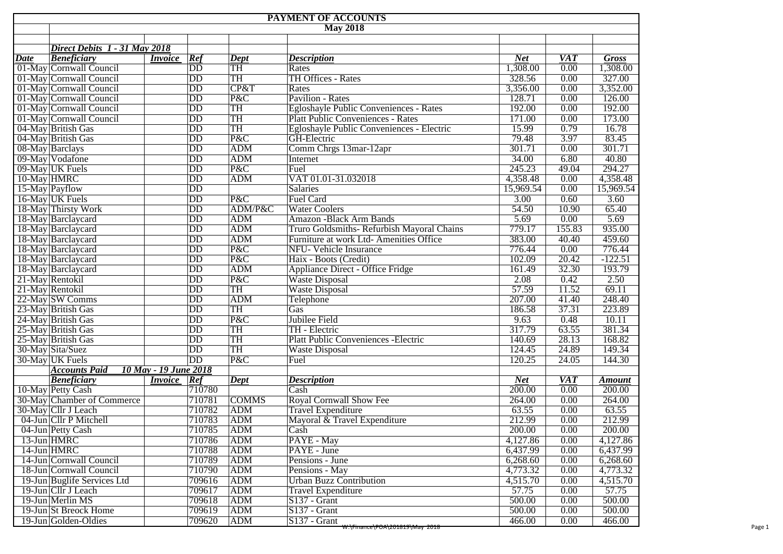|                                           | <b>PAYMENT OF ACCOUNTS</b>                    |                                    |              |                                                                                    |                  |              |                  |  |  |  |  |  |  |
|-------------------------------------------|-----------------------------------------------|------------------------------------|--------------|------------------------------------------------------------------------------------|------------------|--------------|------------------|--|--|--|--|--|--|
| <b>May 2018</b>                           |                                               |                                    |              |                                                                                    |                  |              |                  |  |  |  |  |  |  |
|                                           |                                               |                                    |              |                                                                                    |                  |              |                  |  |  |  |  |  |  |
|                                           | Direct Debits 1 - 31 May 2018                 |                                    |              |                                                                                    |                  |              |                  |  |  |  |  |  |  |
| <b>Date</b>                               | <b>Beneficiary</b><br><i>Invoice</i>          | Ref                                | Dept         | <b>Description</b>                                                                 | <b>Net</b>       | <b>VAT</b>   | <b>Gross</b>     |  |  |  |  |  |  |
|                                           | 01-May Cornwall Council                       | DD                                 | TH           | Rates                                                                              | 1,308.00         | 0.00         | 1,308.00         |  |  |  |  |  |  |
|                                           | 01-May Cornwall Council                       | $\overline{DD}$<br>$\overline{DD}$ | TH           | <b>TH Offices - Rates</b>                                                          | 328.56           | 0.00         | 327.00           |  |  |  |  |  |  |
|                                           | 01-May Cornwall Council<br>$\overline{DD}$    |                                    | CP&T         | Rates<br>Pavilion - Rates                                                          | 3,356.00         | 0.00         | 3,352.00         |  |  |  |  |  |  |
|                                           | 01-May Cornwall Council                       |                                    | P&C<br>TH    |                                                                                    | 128.71<br>192.00 | 0.00<br>0.00 | 126.00<br>192.00 |  |  |  |  |  |  |
|                                           | 01-May Cornwall Council                       |                                    | TH           | Egloshayle Public Conveniences - Rates<br><b>Platt Public Conveniences - Rates</b> | 171.00           | 0.00         | 173.00           |  |  |  |  |  |  |
|                                           | 01-May Cornwall Council                       |                                    | TH           | Egloshayle Public Conveniences - Electric                                          | 15.99            | 0.79         | 16.78            |  |  |  |  |  |  |
|                                           | 04-May British Gas<br>04-May British Gas      |                                    | P&C          | <b>GH-Electric</b>                                                                 | 79.48            | 3.97         | 83.45            |  |  |  |  |  |  |
|                                           |                                               |                                    | <b>ADM</b>   | Comm Chrgs 13mar-12apr                                                             | 301.71           | 0.00         | 301.71           |  |  |  |  |  |  |
|                                           | 08-May Barclays<br>09-May Vodafone            |                                    | <b>ADM</b>   | Internet                                                                           | 34.00            | 6.80         | 40.80            |  |  |  |  |  |  |
|                                           |                                               |                                    | P&C          | Fuel                                                                               | 245.23           | 49.04        | 294.27           |  |  |  |  |  |  |
|                                           | 09-May UK Fuels<br>10-May HMRC                |                                    | <b>ADM</b>   | VAT 01.01-31.032018                                                                | 4,358.48         | 0.00         | 4,358.48         |  |  |  |  |  |  |
|                                           |                                               | $\overline{DD}$<br>$\overline{DD}$ |              | Salaries                                                                           | 15,969.54        | 0.00         | 15,969.54        |  |  |  |  |  |  |
| 15-May Payflow<br>16-May UK Fuels         |                                               | $\overline{DD}$                    | P&C          | Fuel Card                                                                          | 3.00             | 0.60         | 3.60             |  |  |  |  |  |  |
|                                           |                                               | $\overline{DD}$                    | ADM/P&C      | <b>Water Coolers</b>                                                               | 54.50            | 10.90        | 65.40            |  |  |  |  |  |  |
| 18-May Thirsty Work<br>18-May Barclaycard |                                               | $\overline{DD}$                    | <b>ADM</b>   | <b>Amazon -Black Arm Bands</b>                                                     | 5.69             | 0.00         | 5.69             |  |  |  |  |  |  |
|                                           |                                               | $\overline{DD}$                    | <b>ADM</b>   | Truro Goldsmiths-Refurbish Mayoral Chains                                          | 779.17           | 155.83       | 935.00           |  |  |  |  |  |  |
|                                           | 18-May Barclaycard<br>18-May Barclaycard      |                                    | <b>ADM</b>   | Furniture at work Ltd- Amenities Office                                            | 383.00           | 40.40        | 459.60           |  |  |  |  |  |  |
| 18-May Barclaycard                        |                                               | $\overline{DD}$<br>$\overline{DD}$ | P&C          | <b>NFU- Vehicle Insurance</b>                                                      | 776.44           | 0.00         | 776.44           |  |  |  |  |  |  |
|                                           |                                               | $\overline{DD}$                    | P&C          | Haix - Boots (Credit)                                                              | 102.09           | 20.42        | $-122.51$        |  |  |  |  |  |  |
|                                           | 18-May Barclaycard<br>18-May Barclaycard      |                                    | ADM          | Appliance Direct - Office Fridge                                                   | 161.49           | 32.30        | 193.79           |  |  |  |  |  |  |
|                                           | 21-May Rentokil                               |                                    | P&C          | <b>Waste Disposal</b>                                                              | 2.08             | 0.42         | 2.50             |  |  |  |  |  |  |
|                                           | 21-May Rentokil                               |                                    | TH           | <b>Waste Disposal</b>                                                              | 57.59            | 11.52        | 69.11            |  |  |  |  |  |  |
|                                           | 22-May SW Comms                               |                                    | <b>ADM</b>   | Telephone                                                                          | 207.00           | 41.40        | 248.40           |  |  |  |  |  |  |
|                                           | 23-May British Gas                            |                                    | TH           | Gas                                                                                | 186.58           | 37.31        | 223.89           |  |  |  |  |  |  |
|                                           | 24-May British Gas                            |                                    | P&C          | Jubilee Field                                                                      | 9.63             | 0.48         | 10.11            |  |  |  |  |  |  |
|                                           | 25-May British Gas                            |                                    | TH           | TH - Electric                                                                      | 317.79           | 63.55        | 381.34           |  |  |  |  |  |  |
|                                           | 25-May British Gas                            |                                    | TH           | <b>Platt Public Conveniences - Electric</b>                                        | 140.69           | 28.13        | 168.82           |  |  |  |  |  |  |
|                                           | 30-May Sita/Suez                              |                                    | <b>TH</b>    | <b>Waste Disposal</b>                                                              | 124.45           | 24.89        | 149.34           |  |  |  |  |  |  |
| 30-May UK Fuels                           |                                               | DD<br>DD                           | P&C          | Fuel                                                                               | 120.25           | 24.05        | 144.30           |  |  |  |  |  |  |
|                                           | 10 May - 19 June 2018<br><b>Accounts Paid</b> |                                    |              |                                                                                    |                  |              |                  |  |  |  |  |  |  |
|                                           | <b>Beneficiary</b><br><i>Invoice</i>          | Ref                                | Dept         | <b>Description</b>                                                                 | <b>Net</b>       | <b>VAT</b>   | <b>Amount</b>    |  |  |  |  |  |  |
| 10-May Petty Cash                         |                                               | 710780                             |              | Cash                                                                               | 200.00           | 0.00         | 200.00           |  |  |  |  |  |  |
|                                           | 30-May Chamber of Commerce                    | 710781                             | <b>COMMS</b> | <b>Royal Cornwall Show Fee</b>                                                     | 264.00           | 0.00         | 264.00           |  |  |  |  |  |  |
|                                           | 30-May Cllr J Leach                           | 710782                             | ADM          | <b>Travel Expenditure</b>                                                          | 63.55            | 0.00         | 63.55            |  |  |  |  |  |  |
|                                           | 04-Jun Cllr P Mitchell                        | 710783                             | <b>ADM</b>   | Mayoral & Travel Expenditure                                                       | 212.99           | 0.00         | 212.99           |  |  |  |  |  |  |
| 04-Jun Petty Cash                         |                                               | 710785                             | ADM          | Cash                                                                               | 200.00           | 0.00         | 200.00           |  |  |  |  |  |  |
| 13-Jun HMRC                               |                                               | 710786                             | ADM          | PAYE - May                                                                         | 4,127.86         | 0.00         | 4,127.86         |  |  |  |  |  |  |
| 14-Jun HMRC                               |                                               | 710788                             | ADM          | PAYE - June                                                                        | 6,437.99         | 0.00         | 6,437.99         |  |  |  |  |  |  |
|                                           | 14-Jun Cornwall Council                       | 710789                             | ADM          | Pensions - June                                                                    | 6,268.60         | 0.00         | 6,268.60         |  |  |  |  |  |  |
|                                           | 18-Jun Cornwall Council                       | 710790                             | ADM          | Pensions - May                                                                     | 4,773.32         | 0.00         | 4,773.32         |  |  |  |  |  |  |
|                                           | 19-Jun Buglife Services Ltd                   | 709616                             | <b>ADM</b>   | <b>Urban Buzz Contribution</b>                                                     | 4,515.70         | 0.00         | 4,515.70         |  |  |  |  |  |  |
|                                           | 19-Jun Cllr J Leach                           | 709617                             | <b>ADM</b>   | <b>Travel Expenditure</b>                                                          | 57.75            | 0.00         | 57.75            |  |  |  |  |  |  |
|                                           | 19-Jun Merlin MS                              | 709618                             | ADM          | $S137 - Grant$                                                                     | 500.00           | 0.00         | 500.00           |  |  |  |  |  |  |
|                                           | 19-Jun St Breock Home                         | 709619                             | ADM          | $S137 - Grant$                                                                     | 500.00           | 0.00         | 500.00           |  |  |  |  |  |  |
|                                           | 19-Jun Golden-Oldies                          | 709620                             | <b>ADM</b>   | $S137 - Grant$<br><del>W:\Finance\POA\201819\May_2018</del>                        | 466.00           | 0.00         | 466.00           |  |  |  |  |  |  |